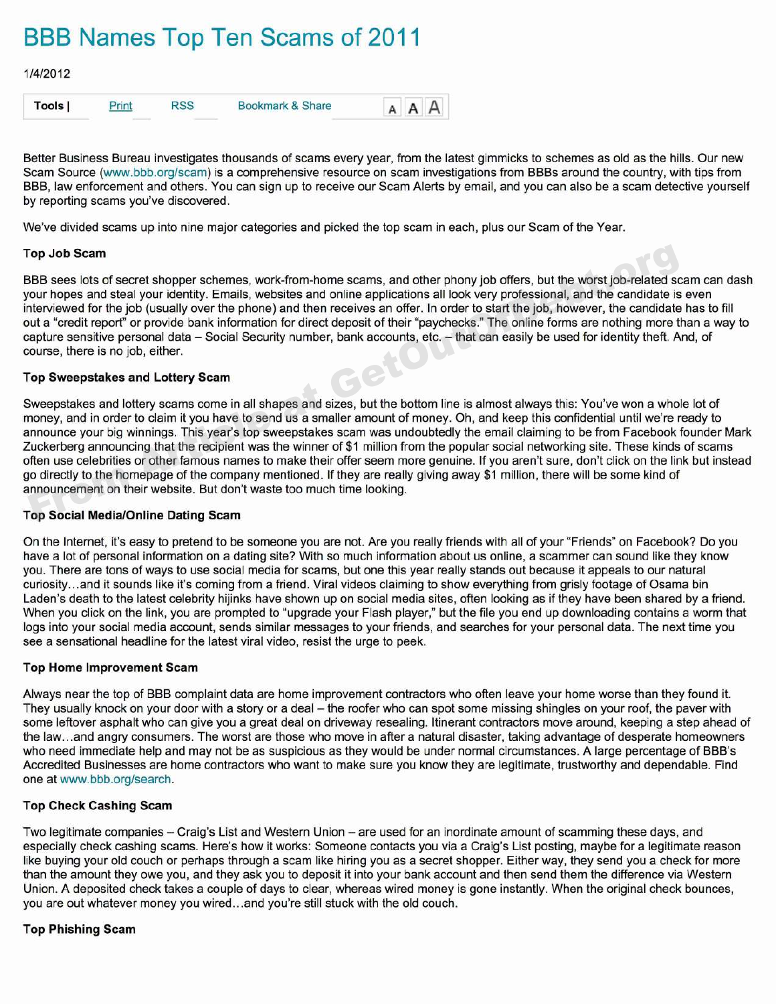# **BBB Names Top Ten Scams of 2011**



Better Business Bureau investigates thousands of seams every year, from the latest gimmicks to schemes as old as the hills. Our new Scam Source (www.bbb.org/scam) is a comprehensive resource on scam investigations from BBBs around the country, with tips from BBB, law enforcement and others. You can sign up to receive our Scam Alerts by email, and you can also be a scam detective yourself by reporting scams you've discovered.

We've divided scams up into nine major categories and picked the top scam in each, plus our Scam of the Year.

# **Top Job Scam**

BBB sees lots of secret shopper schemes, work-from-home seams, and other phony job offers, but the worst job-related scam can dash your hopes and steal your identity. Emails, websites and online applications all look very professional, and the candidate is even interviewed for the job (usually over the phone) and then receives an offer. In order to start the job, however, the candidate has to fill out a "credit report" or provide bank information for direct deposit of their "paychecks." The online forms are nothing more than a way to capture sensitive personal data — Social Security number, bank accounts, etc.— that can easily be used for identity theft. And, of course, there is no job, either.

#### **Top Sweepstakes and Lottery Scam**

Sweepstakes and lottery scams come in all shapes and sizes, but the bottom line is almost always this: You've won a whole lot of money, and in order to claim it you have to send us a smaller amount of money. Oh, and keep this confidential until we're ready to announce your big winnings. This year's top sweepstakes scam was undoubtedly the email claiming to be from Facebook founder Mark Zuckerberg announcing that the recipient was the winner of \$1 million from the popular social networking site. These kinds of seams often use celebrities or other famous names to make their offer seem more genuine. If you aren't sure, don't click on the link but instead go directly to the homepage of the company mentioned. If they are really giving away \$1 million, there will be some kind of announcement on their website. But don't waste too much time looking. Top Job Scam<br>
SBB sees lots of secret shopper schemes, work-from-home scams, and other phony job offers, but the worst job-related sc<br>
our hopes and steal your identity. Emails, websites and online applications all look ve

# **Top Social Media/Online Dating Scam**

On the Internet, it's easy to pretend to be someone you are not. Are you really friends with all of your "Friends" on Facebook? Do you have a lot of personal information on a dating site? With so much information about us online, a scammer can sound like they know you. There are tons of ways to use social media for seams, but one this year really stands out because it appeals to our natural curiosity...and it sounds like it's coming from a friend. Viral videos claiming to show everything from grisly footage of Osama bin Laden's death to the latest celebrity hijinks have shown up on social media sites, often looking as if they have been shared by a friend. When you click on the link, you are prompted to "upgrade your Flash player," but the file you end up downloading contains a worm that logs into your social media account, sends similar messages to your friends, and searches for your personal data. The next time you see a sensational headline for the latest viral video, resist the urge to peek.

# **Top Home Improvement Scam**

Always near the top of BBB complaint data are home improvement contractors who often leave your home worse than they found it. They usually knock on your door with a story or a deal — the roofer who can spot some missing shingles on your roof, the paver with some leftover asphalt who can give you a great deal on driveway resealing. Itinerant contractors move around, keeping a step ahead of the law...and angry consumers. The worst are those who move in after a natural disaster, taking advantage of desperate homeowners who need immediate help and may not be as suspicious as they would be under normal circumstances. A large percentage of BBB's Accredited Businesses are home contractors who want to make sure you know they are legitimate, trustworthy and dependable. Find one at www.bbb.org/search.

#### **Top Check Cashing Scam**

Two legitimate companies — Craig's List and Western Union — are used for an inordinate amount of scamming these days, and especially check cashing seams. Here's how it works: Someone contacts you via a Craig's List posting, maybe for a legitimate reason like buying your old couch or perhaps through a scam like hiring you as a secret shopper. Either way, they send you a check for more than the amount they owe you, and they ask you to deposit it into your bank account and then send them the difference via Western Union. A deposited check takes a couple of days to clear, whereas wired money is gone instantly. When the original check bounces, you are out whatever money you wired...and you're still stuck with the old couch.

# **Top Phishing Scam**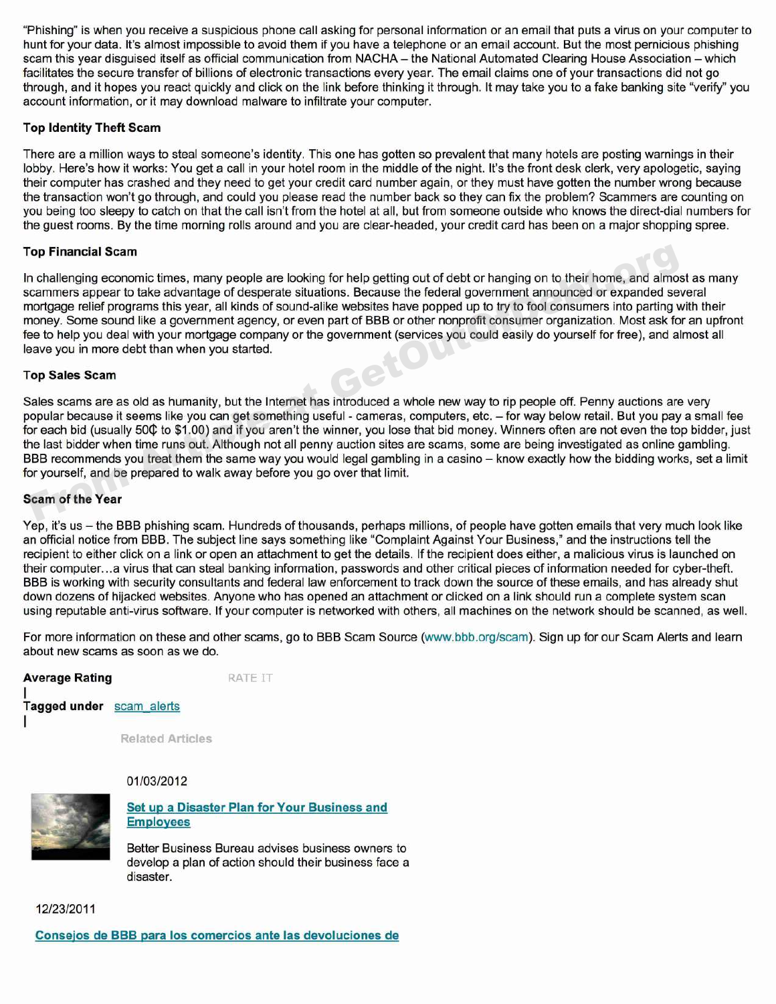"Phishing" is when you receive a suspicious phone call asking for personal information or an email that puts a virus on your computer to hunt for your data. It's almost impossible to avoid them if you have a telephone or an email account. But the most pernicious phishing scam this year disguised itself as official communication from NACHA — the National Automated Clearing House Association — which facilitates the secure transfer of billions of electronic transactions every year. The email claims one of your transactions did not go through, and it hopes you react quickly and click on the link before thinking it through. It may take you to a fake banking site "verify" you account information, or it may download malware to infiltrate your computer.

# **Top Identity Theft Scam**

There are a million ways to steal someone's identity. This one has gotten so prevalent that many hotels are posting warnings in their lobby. Here's how it works: You get a call in your hotel room in the middle of the night. It's the front desk clerk, very apologetic, saying their computer has crashed and they need to get your credit card number again, or they must have gotten the number wrong because the transaction won't go through, and could you please read the number back so they can fix the problem? Scammers are counting on you being too sleepy to catch on that the call isn't from the hotel at all, but from someone outside who knows the direct-dial numbers for the guest rooms. By the time morning rolls around and you are clear-headed, your credit card has been on a major shopping spree.

#### **Top Financial Scam**

In challenging economic times, many people are looking for help getting out of debt or hanging on to their home, and almost as many scammers appear to take advantage of desperate situations. Because the federal government announced or expanded several mortgage relief programs this year, all kinds of sound-alike websites have popped up to try to fool consumers into parting with their money. Some sound like a government agency, or even part of BBB or other nonprofit consumer organization. Most ask for an upfront fee to help you deal with your mortgage company or the government (services you could easily do yourself for free), and almost all leave you in more debt than when you started. Financial Scam<br>
on challenging economic times, many people are looking for help getting out of debt or hanging on to their home, and almostrammes appear to take advantage of desperate situations. Because the federal govern

#### **Top Sales Scam**

Sales seams are as old as humanity, but the Internet has introduced a whole new way to rip people off. Penny auctions are very popular because it seems like you can get something useful - cameras, computers, etc.— for way below retail. But you pay a small fee for each bid (usually 50¢ to \$1.00) and if you aren't the winner, you lose that bid money. Winners often are not even the top bidder, just the last bidder when time runs out. Although not all penny auction sites are seams, some are being investigated as online gambling. BBB recommends you treat them the same way you would legal gambling in a casino — know exactly how the bidding works, set a limit for yourself, and be prepared to walk away before you go over that limit.

## **Scam of the Year**

Yep, it's us — the BBB phishing scam. Hundreds of thousands, perhaps millions, of people have gotten emails that very much look like an official notice from BBB. The subject line says something like "Complaint Against Your Business," and the instructions tell the recipient to either click on a link or open an attachment to get the details. If the recipient does either, a malicious virus is launched on their computer...a virus that can steal banking information, passwords and other critical pieces of information needed for cyber-theft. BBB is working with security consultants and federal law enforcement to track down the source of these emails, and has already shut down dozens of hijacked websites. Anyone who has opened an attachment or clicked on a link should run a complete system scan using reputable anti-virus software. If your computer is networked with others, all machines on the network should be scanned, as well.

For more information on these and other scams, go to BBB Scam Source (www.bbb.org/scam). Sign up for our Scam Alerts and learn about new seams as soon as we do.



**Related Articles**



#### 01/03/2012

**Set up a Disaster Plan for Your Business and**  $E$ mployees

Better Business Bureau advises business owners to develop a plan of action should their business face a disaster.

12/23/2011